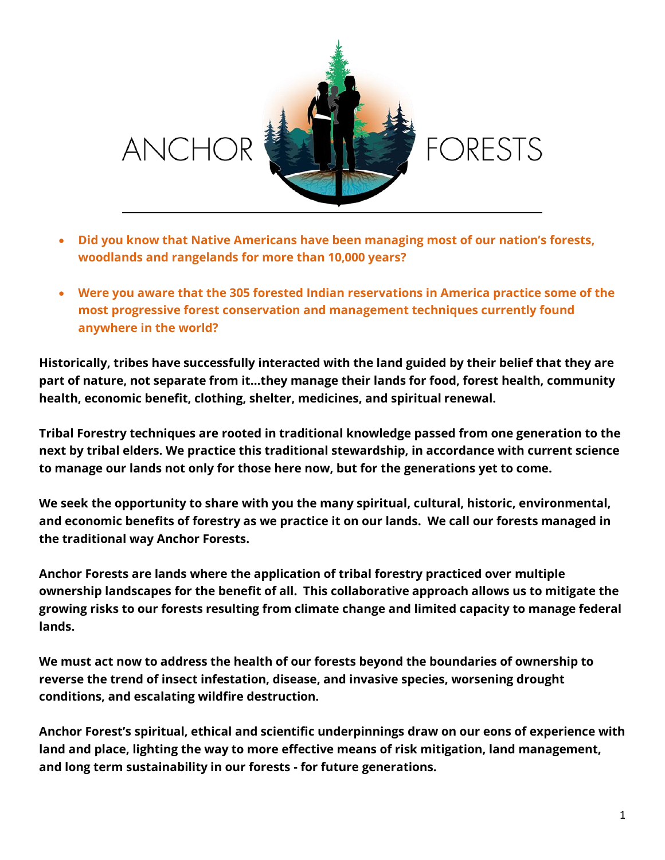

- **Did you know that Native Americans have been managing most of our nation's forests, woodlands and rangelands for more than 10,000 years?**
- **Were you aware that the 305 forested Indian reservations in America practice some of the most progressive forest conservation and management techniques currently found anywhere in the world?**

**Historically, tribes have successfully interacted with the land guided by their belief that they are part of nature, not separate from it…they manage their lands for food, forest health, community health, economic benefit, clothing, shelter, medicines, and spiritual renewal.** 

**Tribal Forestry techniques are rooted in traditional knowledge passed from one generation to the next by tribal elders. We practice this traditional stewardship, in accordance with current science to manage our lands not only for those here now, but for the generations yet to come.** 

**We seek the opportunity to share with you the many spiritual, cultural, historic, environmental, and economic benefits of forestry as we practice it on our lands. We call our forests managed in the traditional way Anchor Forests.** 

**Anchor Forests are lands where the application of tribal forestry practiced over multiple ownership landscapes for the benefit of all. This collaborative approach allows us to mitigate the growing risks to our forests resulting from climate change and limited capacity to manage federal lands.** 

**We must act now to address the health of our forests beyond the boundaries of ownership to reverse the trend of insect infestation, disease, and invasive species, worsening drought conditions, and escalating wildfire destruction.** 

**Anchor Forest's spiritual, ethical and scientific underpinnings draw on our eons of experience with land and place, lighting the way to more effective means of risk mitigation, land management, and long term sustainability in our forests - for future generations.**